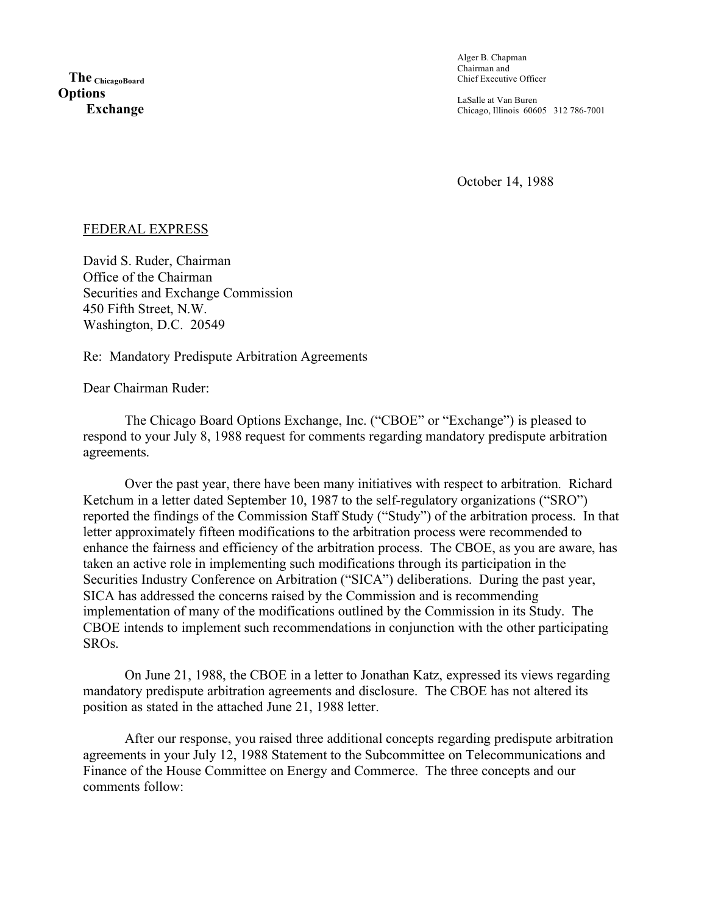Alger B. Chapman Chairman and Chief Executive Officer

LaSalle at Van Buren Chicago, Illinois 60605 312 786-7001

October 14, 1988

## FEDERAL EXPRESS

David S. Ruder, Chairman Office of the Chairman Securities and Exchange Commission 450 Fifth Street, N.W. Washington, D.C. 20549

Re: Mandatory Predispute Arbitration Agreements

Dear Chairman Ruder:

The Chicago Board Options Exchange, Inc. ("CBOE" or "Exchange") is pleased to respond to your July 8, 1988 request for comments regarding mandatory predispute arbitration agreements.

Over the past year, there have been many initiatives with respect to arbitration. Richard Ketchum in a letter dated September 10, 1987 to the self-regulatory organizations ("SRO") reported the findings of the Commission Staff Study ("Study") of the arbitration process. In that letter approximately fifteen modifications to the arbitration process were recommended to enhance the fairness and efficiency of the arbitration process. The CBOE, as you are aware, has taken an active role in implementing such modifications through its participation in the Securities Industry Conference on Arbitration ("SICA") deliberations. During the past year, SICA has addressed the concerns raised by the Commission and is recommending implementation of many of the modifications outlined by the Commission in its Study. The CBOE intends to implement such recommendations in conjunction with the other participating SROs.

On June 21, 1988, the CBOE in a letter to Jonathan Katz, expressed its views regarding mandatory predispute arbitration agreements and disclosure. The CBOE has not altered its position as stated in the attached June 21, 1988 letter.

After our response, you raised three additional concepts regarding predispute arbitration agreements in your July 12, 1988 Statement to the Subcommittee on Telecommunications and Finance of the House Committee on Energy and Commerce. The three concepts and our comments follow: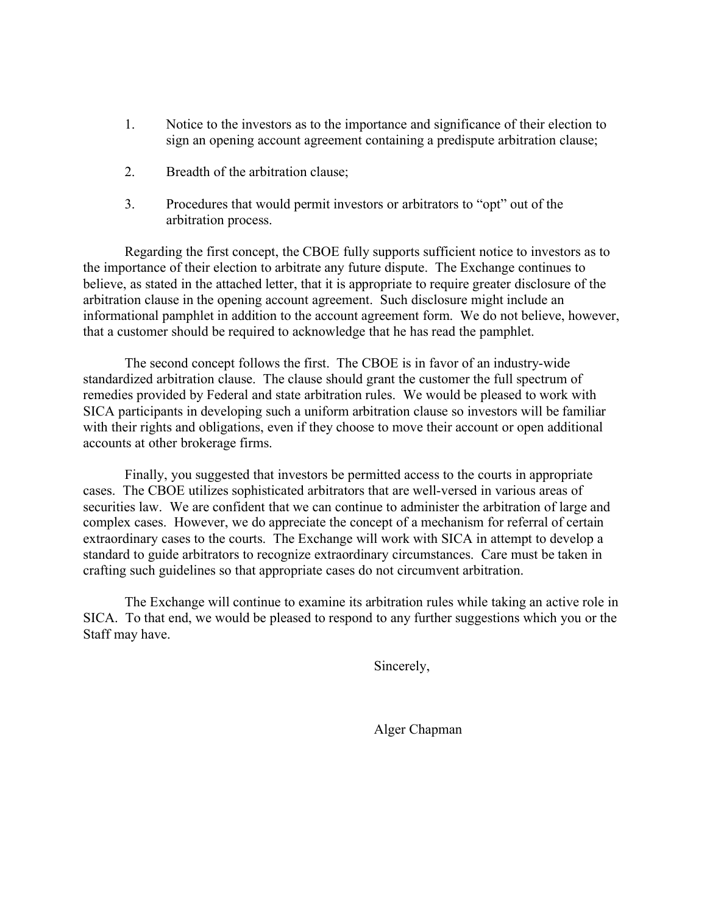- 1. Notice to the investors as to the importance and significance of their election to sign an opening account agreement containing a predispute arbitration clause;
- 2. Breadth of the arbitration clause;
- 3. Procedures that would permit investors or arbitrators to "opt" out of the arbitration process.

Regarding the first concept, the CBOE fully supports sufficient notice to investors as to the importance of their election to arbitrate any future dispute. The Exchange continues to believe, as stated in the attached letter, that it is appropriate to require greater disclosure of the arbitration clause in the opening account agreement. Such disclosure might include an informational pamphlet in addition to the account agreement form. We do not believe, however, that a customer should be required to acknowledge that he has read the pamphlet.

The second concept follows the first. The CBOE is in favor of an industry-wide standardized arbitration clause. The clause should grant the customer the full spectrum of remedies provided by Federal and state arbitration rules. We would be pleased to work with SICA participants in developing such a uniform arbitration clause so investors will be familiar with their rights and obligations, even if they choose to move their account or open additional accounts at other brokerage firms.

Finally, you suggested that investors be permitted access to the courts in appropriate cases. The CBOE utilizes sophisticated arbitrators that are well-versed in various areas of securities law. We are confident that we can continue to administer the arbitration of large and complex cases. However, we do appreciate the concept of a mechanism for referral of certain extraordinary cases to the courts. The Exchange will work with SICA in attempt to develop a standard to guide arbitrators to recognize extraordinary circumstances. Care must be taken in crafting such guidelines so that appropriate cases do not circumvent arbitration.

The Exchange will continue to examine its arbitration rules while taking an active role in SICA. To that end, we would be pleased to respond to any further suggestions which you or the Staff may have.

Sincerely,

Alger Chapman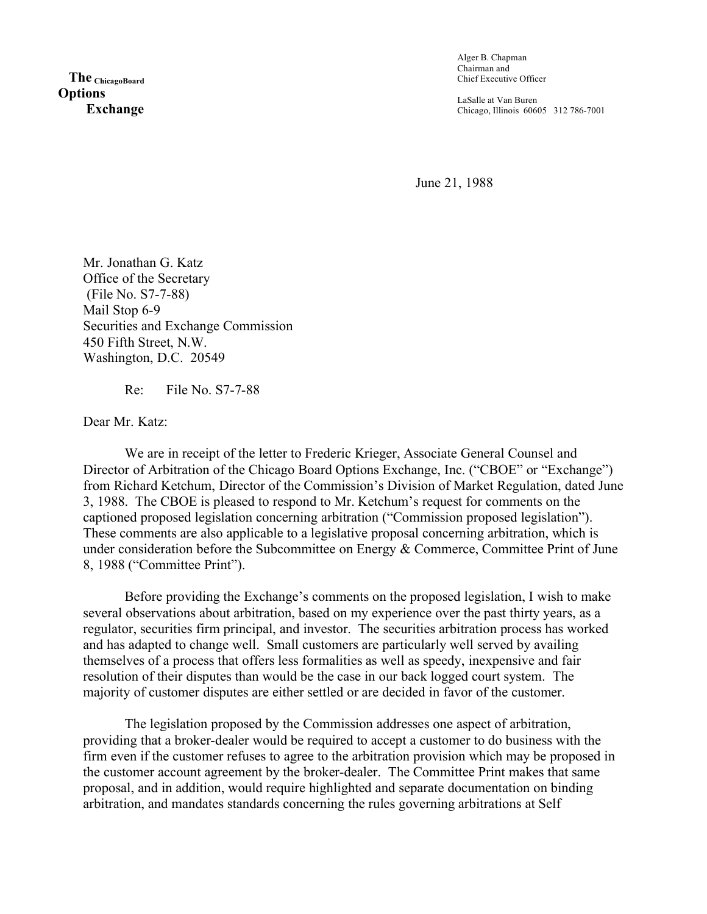**The ChicagoBoard Options Exchange** Alger B. Chapman Chairman and Chief Executive Officer

LaSalle at Van Buren Chicago, Illinois 60605 312 786-7001

June 21, 1988

Mr. Jonathan G. Katz Office of the Secretary (File No. S7-7-88) Mail Stop 6-9 Securities and Exchange Commission 450 Fifth Street, N.W. Washington, D.C. 20549

Re: File No. S7-7-88

Dear Mr. Katz:

We are in receipt of the letter to Frederic Krieger, Associate General Counsel and Director of Arbitration of the Chicago Board Options Exchange, Inc. ("CBOE" or "Exchange") from Richard Ketchum, Director of the Commission's Division of Market Regulation, dated June 3, 1988. The CBOE is pleased to respond to Mr. Ketchum's request for comments on the captioned proposed legislation concerning arbitration ("Commission proposed legislation"). These comments are also applicable to a legislative proposal concerning arbitration, which is under consideration before the Subcommittee on Energy & Commerce, Committee Print of June 8, 1988 ("Committee Print").

Before providing the Exchange's comments on the proposed legislation, I wish to make several observations about arbitration, based on my experience over the past thirty years, as a regulator, securities firm principal, and investor. The securities arbitration process has worked and has adapted to change well. Small customers are particularly well served by availing themselves of a process that offers less formalities as well as speedy, inexpensive and fair resolution of their disputes than would be the case in our back logged court system. The majority of customer disputes are either settled or are decided in favor of the customer.

The legislation proposed by the Commission addresses one aspect of arbitration, providing that a broker-dealer would be required to accept a customer to do business with the firm even if the customer refuses to agree to the arbitration provision which may be proposed in the customer account agreement by the broker-dealer. The Committee Print makes that same proposal, and in addition, would require highlighted and separate documentation on binding arbitration, and mandates standards concerning the rules governing arbitrations at Self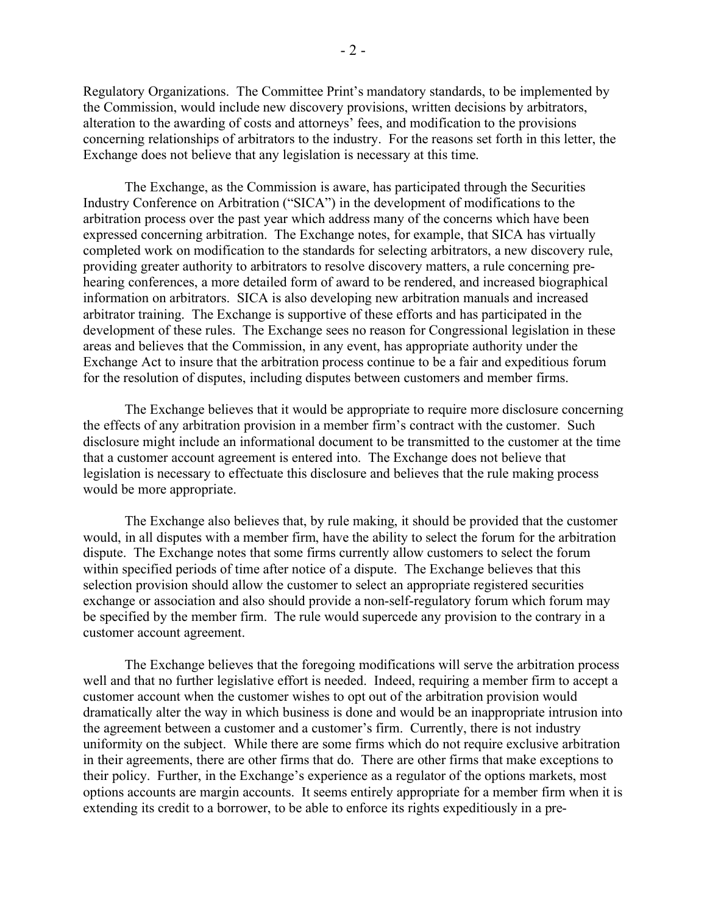Regulatory Organizations. The Committee Print's mandatory standards, to be implemented by the Commission, would include new discovery provisions, written decisions by arbitrators, alteration to the awarding of costs and attorneys' fees, and modification to the provisions concerning relationships of arbitrators to the industry. For the reasons set forth in this letter, the Exchange does not believe that any legislation is necessary at this time.

The Exchange, as the Commission is aware, has participated through the Securities Industry Conference on Arbitration ("SICA") in the development of modifications to the arbitration process over the past year which address many of the concerns which have been expressed concerning arbitration. The Exchange notes, for example, that SICA has virtually completed work on modification to the standards for selecting arbitrators, a new discovery rule, providing greater authority to arbitrators to resolve discovery matters, a rule concerning prehearing conferences, a more detailed form of award to be rendered, and increased biographical information on arbitrators. SICA is also developing new arbitration manuals and increased arbitrator training. The Exchange is supportive of these efforts and has participated in the development of these rules. The Exchange sees no reason for Congressional legislation in these areas and believes that the Commission, in any event, has appropriate authority under the Exchange Act to insure that the arbitration process continue to be a fair and expeditious forum for the resolution of disputes, including disputes between customers and member firms.

The Exchange believes that it would be appropriate to require more disclosure concerning the effects of any arbitration provision in a member firm's contract with the customer. Such disclosure might include an informational document to be transmitted to the customer at the time that a customer account agreement is entered into. The Exchange does not believe that legislation is necessary to effectuate this disclosure and believes that the rule making process would be more appropriate.

The Exchange also believes that, by rule making, it should be provided that the customer would, in all disputes with a member firm, have the ability to select the forum for the arbitration dispute. The Exchange notes that some firms currently allow customers to select the forum within specified periods of time after notice of a dispute. The Exchange believes that this selection provision should allow the customer to select an appropriate registered securities exchange or association and also should provide a non-self-regulatory forum which forum may be specified by the member firm. The rule would supercede any provision to the contrary in a customer account agreement.

The Exchange believes that the foregoing modifications will serve the arbitration process well and that no further legislative effort is needed. Indeed, requiring a member firm to accept a customer account when the customer wishes to opt out of the arbitration provision would dramatically alter the way in which business is done and would be an inappropriate intrusion into the agreement between a customer and a customer's firm. Currently, there is not industry uniformity on the subject. While there are some firms which do not require exclusive arbitration in their agreements, there are other firms that do. There are other firms that make exceptions to their policy. Further, in the Exchange's experience as a regulator of the options markets, most options accounts are margin accounts. It seems entirely appropriate for a member firm when it is extending its credit to a borrower, to be able to enforce its rights expeditiously in a pre